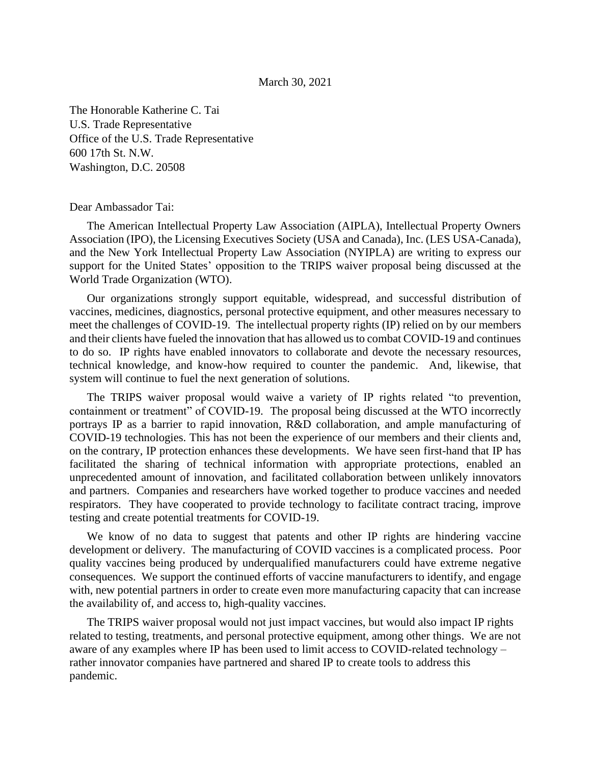## March 30, 2021

The Honorable Katherine C. Tai U.S. Trade Representative Office of the U.S. Trade Representative 600 17th St. N.W. Washington, D.C. 20508

## Dear Ambassador Tai:

The American Intellectual Property Law Association (AIPLA), Intellectual Property Owners Association (IPO), the Licensing Executives Society (USA and Canada), Inc. (LES USA-Canada), and the New York Intellectual Property Law Association (NYIPLA) are writing to express our support for the United States' opposition to the TRIPS waiver proposal being discussed at the World Trade Organization (WTO).

Our organizations strongly support equitable, widespread, and successful distribution of vaccines, medicines, diagnostics, personal protective equipment, and other measures necessary to meet the challenges of COVID-19. The intellectual property rights (IP) relied on by our members and their clients have fueled the innovation that has allowed us to combat COVID-19 and continues to do so. IP rights have enabled innovators to collaborate and devote the necessary resources, technical knowledge, and know-how required to counter the pandemic. And, likewise, that system will continue to fuel the next generation of solutions.

The TRIPS waiver proposal would waive a variety of IP rights related "to prevention, containment or treatment" of COVID-19. The proposal being discussed at the WTO incorrectly portrays IP as a barrier to rapid innovation, R&D collaboration, and ample manufacturing of COVID-19 technologies. This has not been the experience of our members and their clients and, on the contrary, IP protection enhances these developments. We have seen first-hand that IP has facilitated the sharing of technical information with appropriate protections, enabled an unprecedented amount of innovation, and facilitated collaboration between unlikely innovators and partners. Companies and researchers have worked together to produce vaccines and needed respirators. They have cooperated to provide technology to facilitate contract tracing, improve testing and create potential treatments for COVID-19.

We know of no data to suggest that patents and other IP rights are hindering vaccine development or delivery. The manufacturing of COVID vaccines is a complicated process. Poor quality vaccines being produced by underqualified manufacturers could have extreme negative consequences. We support the continued efforts of vaccine manufacturers to identify, and engage with, new potential partners in order to create even more manufacturing capacity that can increase the availability of, and access to, high-quality vaccines.

The TRIPS waiver proposal would not just impact vaccines, but would also impact IP rights related to testing, treatments, and personal protective equipment, among other things. We are not aware of any examples where IP has been used to limit access to COVID-related technology – rather innovator companies have partnered and shared IP to create tools to address this pandemic.